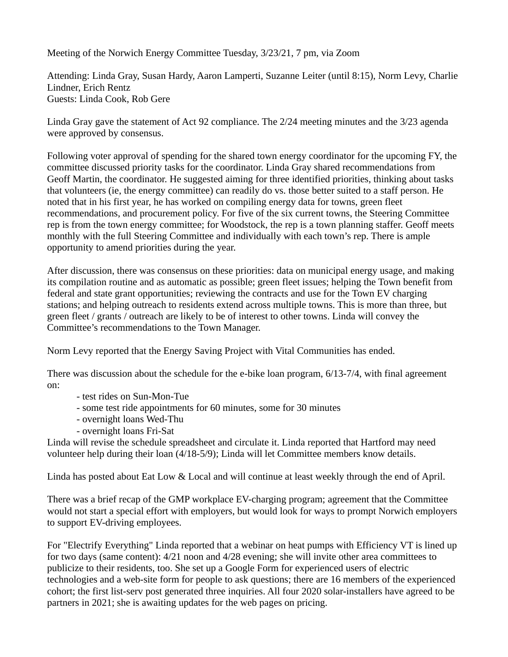Meeting of the Norwich Energy Committee Tuesday, 3/23/21, 7 pm, via Zoom

Attending: Linda Gray, Susan Hardy, Aaron Lamperti, Suzanne Leiter (until 8:15), Norm Levy, Charlie Lindner, Erich Rentz Guests: Linda Cook, Rob Gere

Linda Gray gave the statement of Act 92 compliance. The 2/24 meeting minutes and the 3/23 agenda were approved by consensus.

Following voter approval of spending for the shared town energy coordinator for the upcoming FY, the committee discussed priority tasks for the coordinator. Linda Gray shared recommendations from Geoff Martin, the coordinator. He suggested aiming for three identified priorities, thinking about tasks that volunteers (ie, the energy committee) can readily do vs. those better suited to a staff person. He noted that in his first year, he has worked on compiling energy data for towns, green fleet recommendations, and procurement policy. For five of the six current towns, the Steering Committee rep is from the town energy committee; for Woodstock, the rep is a town planning staffer. Geoff meets monthly with the full Steering Committee and individually with each town's rep. There is ample opportunity to amend priorities during the year.

After discussion, there was consensus on these priorities: data on municipal energy usage, and making its compilation routine and as automatic as possible; green fleet issues; helping the Town benefit from federal and state grant opportunities; reviewing the contracts and use for the Town EV charging stations; and helping outreach to residents extend across multiple towns. This is more than three, but green fleet / grants / outreach are likely to be of interest to other towns. Linda will convey the Committee's recommendations to the Town Manager.

Norm Levy reported that the Energy Saving Project with Vital Communities has ended.

There was discussion about the schedule for the e-bike loan program, 6/13-7/4, with final agreement on:

- test rides on Sun-Mon-Tue
- some test ride appointments for 60 minutes, some for 30 minutes
- overnight loans Wed-Thu
- overnight loans Fri-Sat

Linda will revise the schedule spreadsheet and circulate it. Linda reported that Hartford may need volunteer help during their loan (4/18-5/9); Linda will let Committee members know details.

Linda has posted about Eat Low & Local and will continue at least weekly through the end of April.

There was a brief recap of the GMP workplace EV-charging program; agreement that the Committee would not start a special effort with employers, but would look for ways to prompt Norwich employers to support EV-driving employees.

For "Electrify Everything" Linda reported that a webinar on heat pumps with Efficiency VT is lined up for two days (same content): 4/21 noon and 4/28 evening; she will invite other area committees to publicize to their residents, too. She set up a Google Form for experienced users of electric technologies and a web-site form for people to ask questions; there are 16 members of the experienced cohort; the first list-serv post generated three inquiries. All four 2020 solar-installers have agreed to be partners in 2021; she is awaiting updates for the web pages on pricing.